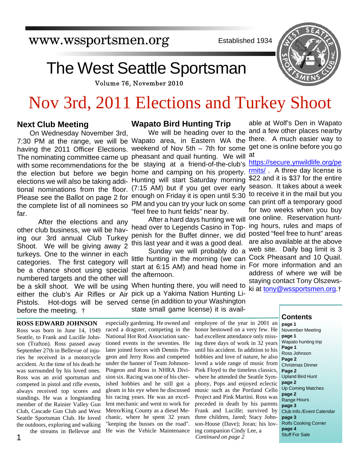www.wssportsmen.org

Established 1934

# The West Seattle Sportsman

Volume 76, November 2010

# Nov 3rd, 2011 Elections and Turkey Shoot

## **Next Club Meeting**

On Wednesday November 3rd, The nominating committee came up with some recommendations for the the election but before we begin elections we will also be taking additional nominations from the floor. Please see the Ballot on page 2 for the complete list of all nominees so far.

 After the elections and any other club business, we will be having our 3rd annual Club Turkey Shoot. We will be giving away 2 turkeys. One to the winner in each categories. The first category will be a chance shoot using special numbered targets and the other will be a skill shoot. We will be using Pistols. Hot-dogs will be served before the meeting. †

#### **Wapato Bird Hunting Trip**

We will be heading over to the 7:30 PM at the range, we will be Wapato area, in Eastern WA the having the 2011 Officer Elections. weekend of Nov 5th – 7th for some get one is online before you go pheasant and quail hunting. We will at be staying at a friend-of-the-club's https://secure.ynwildlife.org/pe home and camping on his property. Hunting will start Saturday morning (7:15 AM) but if you get over early enough on Friday it is open until 5:30 to receive it in the mail but you PM and you can try your luck on some can print off a temporary good "feel free to hunt fields" near by.

> head over to Legends Casino in Toppenish for the Buffet dinner, we did posted "feel free to hunt" areas this last year and it was a good deal.

> Sunday we will probably do a little hunting in the morning (we can start at 6:15 AM) and head home in For more information and an the afternoon.

When hunting there, you will need to either the club's Air Rifles or Air pick up a Yakima Nation Hunting License (in addition to your Washington state small game license) it is avail-

able at Wolf's Den in Wapato and a few other places nearby there. A much easier way to

After a hard days hunting we will one online. Reservation huntrmits/ . A three day license is \$22 and it is \$37 for the entire season. It takes about a week for two weeks when you buy ing hours, rules and maps of are also available at the above web site. Daily bag limit is 3 Cock Pheasant and 10 Quail. address of where we will be staying contact Tony Olszewski at tony@wssportsmen.org.†

#### **ROSS EDWARD JOHNSON**

Ross was born in June 14, 1949 Seattle, to Frank and Lucille Johnson (Trafton). Ross passed away September 27th in Bellevue of injuries he received in a motorcycle accident. At the time of his death he was surrounded by his loved ones. Ross was an avid sportsman and competed in pistol and rifle events, always received top scores and standings. He was a longstanding member of the Rainier Valley Gun Club, Cascade Gun Club and West Seattle Sportsman Club. He loved the outdoors, exploring and walking the streams in Bellevue and

1

especially gardening. He owned and raced a dragster, competing in the National Hot Rod Association sanctioned events in the seventies. He later joined forces with Dennis Pingeon and Jerry Ross and competed under the banner of Team Johnson-Pingeon and Ross in NHRA Division six. Racing was one of his cherished hobbies and he still got a gleam in his eye when he discussed his racing years. He was an excellent mechanic and went to work for Metro/King County as a diesel Mechanic, where he spent 32 years "keeping the busses on the road". He was the Vehicle Maintenance

employee of the year in 2001 an honor bestowed on a very few. He had excellent attendance only missing three days of work in 32 years until his accident. In addition to his hobbies and love of nature, he also loved a wide range of music from Pink Floyd to the timeless classics, where he attended the Seattle Symphony, Pops and enjoyed eclectic music such as the Portland Cello Project and Pink Martini. Ross was preceded in death by his parents Frank and Lucille; survived by three children, Jared; Stacy Johnson-House (Dave); Joran; his loving companion Cindy Lee, a Continued on page 2

#### **Contents**

**page 1** November Meeting **page 1** Wapato hunting trip **Page 1** Ross Johnson **Page 2** Christmas Dinner **Page 2** Upland Bird Hunt **page 2** Up Coming Matches **page 2** Range Hours **page 3** Club Info./Event Calendar **page 3** Rolfs Cooking Corner **page 4**

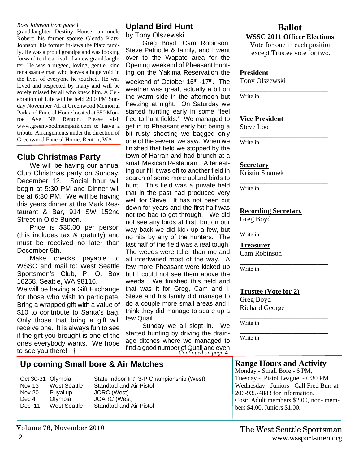#### *Ross Johnson from page 1*

granddaughter Destiny House; an uncle Robert; his former spouse Glenda Platz-Johnson; his former in-laws the Platz family. He was a proud grandpa and was looking forward to the arrival of a new granddaughter. He was a rugged, loving, gentle, kind renaissance man who leaves a huge void in the lives of everyone he touched. He was loved and respected by many and will be sorely missed by all who knew him. A Celebration of Life will be held 2:00 PM Sunday November 7th at Greenwood Memorial Park and Funeral Home located at 350 Monroe Ave NE Renton. Please visit www.greenwoodmempark.com to leave a tribute. Arrangements under the direction of Greenwood Funeral Home, Renton, WA.

# **Club Christmas Party**

We will be having our annual Club Christmas party on Sunday, December 12. Social hour will begin at 5:30 PM and Dinner will be at 6:30 PM. We will be having this years dinner at the Mark Restaurant & Bar, 914 SW 152nd Street in Olde Burien.

Price is \$30.00 per person (this includes tax & gratuity) and must be received no later than December 5th.

Make checks payable to WSSC and mail to: West Seattle Sportsmen's Club, P. O. Box 16258, Seattle, WA 98116. We will be having a Gift Exchange for those who wish to participate. Bring a wrapped gift with a value of \$10 to contribute to Santa's bag. Only those that bring a gift will receive one. It is always fun to see if the gift you brought is one of the ones everybody wants. We hope to see you there! †

# **Upland Bird Hunt**

by Tony Olszewski

Greg Boyd, Cam Robinson, Steve Patnode & family, and I went over to the Wapato area for the Opening weekend of Pheasant Hunting on the Yakima Reservation the weekend of October 16<sup>th</sup> -17<sup>th</sup>. The weather was great, actually a bit on the warm side in the afternoon but freezing at night. On Saturday we started hunting early in some "feel free to hunt fields." We managed to get in to Pheasant early but being a bit rusty shooting we bagged only one of the several we saw. When we finished that field we stopped by the town of Harrah and had brunch at a small Mexican Restaurant. After eating our fill it was off to another field in search of some more upland birds to hunt. This field was a private field that in the past had produced very well for Steve. It has not been cut down for years and the first half was not too bad to get through. We did not see any birds at first, but on our way back we did kick up a few, but no hits by any of the hunters. The last half of the field was a real tough. The weeds were taller than me and all intertwined most of the way. A few more Pheasant were kicked up but I could not see them above the weeds. We finished this field and that was it for Greg, Cam and I. Steve and his family did manage to do a couple more small areas and I think they did manage to scare up a few Quail.

Sunday we all slept in. We started hunting by driving the drainage ditches where we managed to find a good number of Quail and even *Continued on page 4*

# **Ballot**

## **WSSC 2011 Officer Elections**

Vote for one in each position except Trustee vote for two.

\_\_\_\_\_\_\_\_\_\_\_\_\_\_\_\_\_\_\_\_\_\_\_\_\_

#### **President**

Tony Olszewski

Write in

#### **Vice President**

Steve Loo

\_\_\_\_\_\_\_\_\_\_\_\_\_\_\_\_\_\_\_\_\_\_\_\_\_ Write in

#### **Secretary**

Kristin Shamek

\_\_\_\_\_\_\_\_\_\_\_\_\_\_\_\_\_\_\_\_\_\_\_\_\_ Write in

#### **Recording Secretary**

Greg Boyd

\_\_\_\_\_\_\_\_\_\_\_\_\_\_\_\_\_\_\_\_\_\_\_\_\_ Write in

**Treasurer**

Cam Robinson

Write in

# **Trustee (Vote for 2)**

\_\_\_\_\_\_\_\_\_\_\_\_\_\_\_\_\_\_\_\_\_\_\_\_\_

Greg Boyd Richard George

\_\_\_\_\_\_\_\_\_\_\_\_\_\_\_\_\_\_\_\_\_\_\_\_\_ Write in

Write in

# **Up coming Small bore & Air Matches**

| Oct 30-31 Olympia |              | State Indoor Int'l 3-P Championship (West) |
|-------------------|--------------|--------------------------------------------|
| Nov 13            | West Seattle | Standard and Air Pistol                    |
| Nov 20            | Puyallup     | JORC (West)                                |
| Dec 4             | Olympia      | JOARC (West)                               |
| Dec 11            | West Seattle | Standard and Air Pistol                    |

# **Range Hours and Activity**

\_\_\_\_\_\_\_\_\_\_\_\_\_\_\_\_\_\_\_\_\_\_\_\_\_

Monday - Small Bore - 6 PM, Tuesday - Pistol League, - 6:30 PM Wednesday - Juniors - Call Fred Burr at 206-935-4883 for information. Cost: Adult members \$2.00, non- members \$4.00, Juniors \$1.00.

Volume 76, November 2010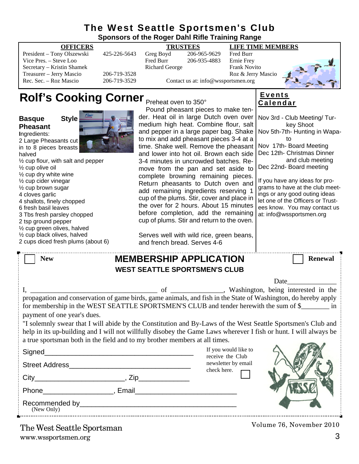| The West Seattle Sportsmen's Club                                                                                                                                                                                                                                                                                                                                                                                                                                                                                            |                                                                   |                                                                                                                                                                                                                                                                                                                                                                                                                                                                                                                                                                                                                                                                                                                         |                                                                     |                                                               |                                                                                                                                                                                                                                                                                                                                                                                                 |  |  |  |
|------------------------------------------------------------------------------------------------------------------------------------------------------------------------------------------------------------------------------------------------------------------------------------------------------------------------------------------------------------------------------------------------------------------------------------------------------------------------------------------------------------------------------|-------------------------------------------------------------------|-------------------------------------------------------------------------------------------------------------------------------------------------------------------------------------------------------------------------------------------------------------------------------------------------------------------------------------------------------------------------------------------------------------------------------------------------------------------------------------------------------------------------------------------------------------------------------------------------------------------------------------------------------------------------------------------------------------------------|---------------------------------------------------------------------|---------------------------------------------------------------|-------------------------------------------------------------------------------------------------------------------------------------------------------------------------------------------------------------------------------------------------------------------------------------------------------------------------------------------------------------------------------------------------|--|--|--|
| Sponsors of the Roger Dahl Rifle Training Range                                                                                                                                                                                                                                                                                                                                                                                                                                                                              |                                                                   |                                                                                                                                                                                                                                                                                                                                                                                                                                                                                                                                                                                                                                                                                                                         |                                                                     |                                                               |                                                                                                                                                                                                                                                                                                                                                                                                 |  |  |  |
| <b>OFFICERS</b><br>President - Tony Olszewski<br>Vice Pres. - Steve Loo<br>Secretary - Kristin Shamek<br>Treasurer - Jerry Mascio<br>Rec. Sec. - Roz Mascio                                                                                                                                                                                                                                                                                                                                                                  | 425-226-5643<br>206-719-3528<br>206-719-3529                      | <b>TRUSTEES</b><br>Greg Boyd<br>Fred Burr<br><b>Richard George</b>                                                                                                                                                                                                                                                                                                                                                                                                                                                                                                                                                                                                                                                      | 206-965-9629<br>206-935-4883<br>Contact us at: info@wssportsmen.org | Fred Burr<br>Ernie Frey<br>Frank Novito<br>Roz & Jerry Mascio | <b>LIFE TIME MEMBERS</b>                                                                                                                                                                                                                                                                                                                                                                        |  |  |  |
| Rolf's Cooking Corner Preheat oven to 350°                                                                                                                                                                                                                                                                                                                                                                                                                                                                                   |                                                                   | Pound pheasant pieces to make ten-                                                                                                                                                                                                                                                                                                                                                                                                                                                                                                                                                                                                                                                                                      |                                                                     |                                                               | <b>Events</b><br>Calendar                                                                                                                                                                                                                                                                                                                                                                       |  |  |  |
| <b>Style</b><br><b>Basque</b><br><b>Pheasant</b><br>Ingredients:<br>2 Large Pheasants cut<br>in to 8 pieces breasts<br>halved<br>$\frac{1}{2}$ cup flour, with salt and pepper<br>1/2 cup olive oil<br>1/2 cup dry white wine<br>$\frac{1}{2}$ cup cider vinegar<br>1/2 cup brown sugar<br>4 cloves garlic<br>4 shallots, finely chopped<br>6 fresh basil leaves<br>3 Tbs fresh parsley chopped<br>2 tsp ground pepper<br>1/2 cup green olives, halved<br>1/2 cup black olives, halved<br>2 cups diced fresh plums (about 6) |                                                                   | der. Heat oil in large Dutch oven over<br>medium high heat. Combine flour, salt<br>and pepper in a large paper bag. Shake<br>to mix and add pheasant pieces 3-4 at a<br>time. Shake well. Remove the pheasant<br>and lower into hot oil. Brown each side<br>3-4 minutes in uncrowded batches. Re-<br>move from the pan and set aside to<br>complete browning remaining pieces.<br>Return pheasants to Dutch oven and<br>add remaining ingredients reserving 1<br>cup of the plums. Stir, cover and place in<br>the over for 2 hours. About 15 minutes<br>before completion, add the remaining<br>cup of plums. Stir and return to the oven.<br>Serves well with wild rice, green beans,<br>and french bread. Serves 4-6 |                                                                     |                                                               | Nov 3rd - Club Meeting/ Tur-<br>key Shoot<br>Nov 5th-7th- Hunting in Wapa-<br>to<br>Nov 17th- Board Meeting<br>Dec 12th- Christmas Dinner<br>and club meeting<br>Dec 22nd- Board meeting<br>If you have any ideas for pro-<br>grams to have at the club meet-<br>ings or any good outing ideas<br>let one of the Officers or Trust-<br>ees know. You may contact us<br>at: info@wssportsmen.org |  |  |  |
| <b>New</b>                                                                                                                                                                                                                                                                                                                                                                                                                                                                                                                   |                                                                   | <b>MEMBERSHIP APPLICATION</b>                                                                                                                                                                                                                                                                                                                                                                                                                                                                                                                                                                                                                                                                                           |                                                                     |                                                               | <b>Renewal</b>                                                                                                                                                                                                                                                                                                                                                                                  |  |  |  |
| <b>WEST SEATTLE SPORTSMEN'S CLUB</b>                                                                                                                                                                                                                                                                                                                                                                                                                                                                                         |                                                                   |                                                                                                                                                                                                                                                                                                                                                                                                                                                                                                                                                                                                                                                                                                                         |                                                                     |                                                               |                                                                                                                                                                                                                                                                                                                                                                                                 |  |  |  |
| $I, \_\_$<br>payment of one year's dues.                                                                                                                                                                                                                                                                                                                                                                                                                                                                                     |                                                                   | of                                                                                                                                                                                                                                                                                                                                                                                                                                                                                                                                                                                                                                                                                                                      |                                                                     |                                                               | Date<br>Washington, being interested in the<br>propagation and conservation of game birds, game animals, and fish in the State of Washington, do hereby apply<br>for membership in the WEST SEATTLE SPORTSMEN'S CLUB and tender herewith the sum of \$                                                                                                                                          |  |  |  |
| a true sportsman both in the field and to my brother members at all times.                                                                                                                                                                                                                                                                                                                                                                                                                                                   |                                                                   |                                                                                                                                                                                                                                                                                                                                                                                                                                                                                                                                                                                                                                                                                                                         |                                                                     |                                                               | "I solemnly swear that I will abide by the Constitution and By-Laws of the West Seattle Sportsmen's Club and<br>help in its up-building and I will not willfully disobey the Game Laws wherever I fish or hunt. I will always be                                                                                                                                                                |  |  |  |
| Signed                                                                                                                                                                                                                                                                                                                                                                                                                                                                                                                       | <u> 1980 - Johann John Stone, mars eta biztanleria (h. 1980).</u> |                                                                                                                                                                                                                                                                                                                                                                                                                                                                                                                                                                                                                                                                                                                         | If you would like to                                                |                                                               |                                                                                                                                                                                                                                                                                                                                                                                                 |  |  |  |
|                                                                                                                                                                                                                                                                                                                                                                                                                                                                                                                              |                                                                   |                                                                                                                                                                                                                                                                                                                                                                                                                                                                                                                                                                                                                                                                                                                         |                                                                     | receive the Club<br>newsletter by email<br>check here. $\Box$ |                                                                                                                                                                                                                                                                                                                                                                                                 |  |  |  |

Phone\_\_\_\_\_\_\_\_\_\_\_\_\_\_\_\_\_\_, Email\_\_\_\_\_\_\_\_\_\_\_\_\_\_\_\_\_\_\_\_\_\_\_\_\_\_

Recommended by\_\_\_\_\_\_\_\_\_\_\_\_\_\_\_\_\_\_\_\_\_\_\_\_\_\_\_\_\_\_\_\_\_\_\_\_\_\_\_\_ (New Only)

Volume 76, November 2010

City\_\_\_\_\_\_\_\_\_\_\_\_\_\_\_\_\_\_\_\_\_\_\_, Zip\_\_\_\_\_\_\_\_\_\_\_\_\_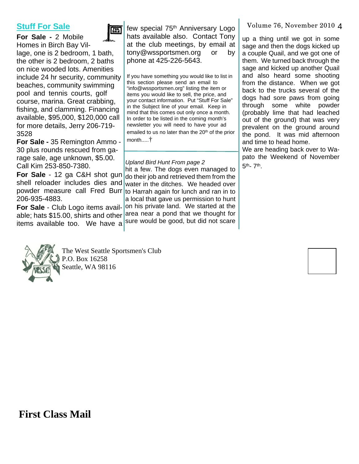# **Stuff For Sale**



**For Sale -** 2 Mobile Homes in Birch Bay Village, one is 2 bedroom, 1 bath, the other is 2 bedroom, 2 baths on nice wooded lots. Amenities include 24 hr security, community beaches, community swimming pool and tennis courts, golf course, marina. Great crabbing, fishing, and clamming. Financing available, \$95,000, \$120,000 call for more details, Jerry 206-719- 3528

**For Sale -** 35 Remington Ammo - 30 plus rounds rescued from garage sale, age unknown, \$5.00. Call Kim 253-850-7380.

206-935-4883.

**For Sale** - Club Logo items availitems available too. We have a sure would be good, but did not scare

few special 75<sup>th</sup> Anniversary Logo hats available also. Contact Tony at the club meetings, by email at tony@wssportsmen.org or by phone at 425-226-5643.

If you have something you would like to list in this section please send an email to "info@wssportsmen.org" listing the item or items you would like to sell, the price, and your contact information. Put "Stuff For Sale" in the Subject line of your email. Keep in mind that this comes out only once a month. In order to be listed in the coming month's newsletter you will need to have your ad emailed to us no later than the 20<sup>th</sup> of the prior month.....†

#### *Upland Bird Hunt From page 2*

**For Sale** - 12 ga C&H shot gun do their job and retrieved them from the shell reloader includes dies and water in the ditches. We headed over powder measure call Fred Burr to Harrah again for lunch and ran in to able; hats \$15.00, shirts and other area near a pond that we thought for hit a few. The dogs even managed to a local that gave us permission to hunt on his private land. We started at the

Volume 76, November 2010 4

up a thing until we got in some sage and then the dogs kicked up a couple Quail, and we got one of them. We turned back through the sage and kicked up another Quail and also heard some shooting from the distance. When we got back to the trucks several of the dogs had sore paws from going through some white powder (probably lime that had leached out of the ground) that was very prevalent on the ground around the pond. It was mid afternoon and time to head home.

We are heading back over to Wapato the Weekend of November 5<sup>th</sup>- 7<sup>th</sup>.



The West Seattle Sportsmen's Club P.O. Box 16258 Seattle, WA 98116

**First Class Mail**